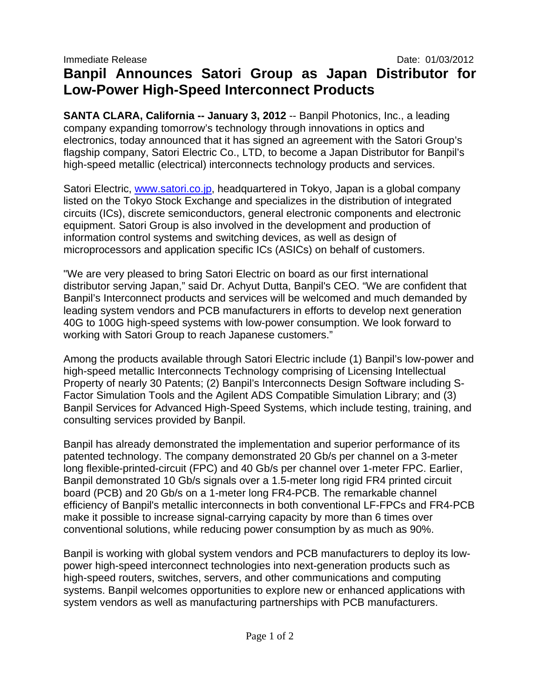## **Banpil Announces Satori Group as Japan Distributor for Low-Power High-Speed Interconnect Products**

**SANTA CLARA, California -- January 3, 2012** -- Banpil Photonics, Inc., a leading company expanding tomorrow's technology through innovations in optics and electronics, today announced that it has signed an agreement with the Satori Group's flagship company, Satori Electric Co., LTD, to become a Japan Distributor for Banpil's high-speed metallic (electrical) interconnects technology products and services.

Satori Electric, www.satori.co.jp, headquartered in Tokyo, Japan is a global company listed on the Tokyo Stock Exchange and specializes in the distribution of integrated circuits (ICs), discrete semiconductors, general electronic components and electronic equipment. Satori Group is also involved in the development and production of information control systems and switching devices, as well as design of microprocessors and application specific ICs (ASICs) on behalf of customers.

"We are very pleased to bring Satori Electric on board as our first international distributor serving Japan," said Dr. Achyut Dutta, Banpil's CEO. "We are confident that Banpil's Interconnect products and services will be welcomed and much demanded by leading system vendors and PCB manufacturers in efforts to develop next generation 40G to 100G high-speed systems with low-power consumption. We look forward to working with Satori Group to reach Japanese customers."

Among the products available through Satori Electric include (1) Banpil's low-power and high-speed metallic Interconnects Technology comprising of Licensing Intellectual Property of nearly 30 Patents; (2) Banpil's Interconnects Design Software including S-Factor Simulation Tools and the Agilent ADS Compatible Simulation Library; and (3) Banpil Services for Advanced High-Speed Systems, which include testing, training, and consulting services provided by Banpil.

Banpil has already demonstrated the implementation and superior performance of its patented technology. The company demonstrated 20 Gb/s per channel on a 3-meter long flexible-printed-circuit (FPC) and 40 Gb/s per channel over 1-meter FPC. Earlier, Banpil demonstrated 10 Gb/s signals over a 1.5-meter long rigid FR4 printed circuit board (PCB) and 20 Gb/s on a 1-meter long FR4-PCB. The remarkable channel efficiency of Banpil's metallic interconnects in both conventional LF-FPCs and FR4-PCB make it possible to increase signal-carrying capacity by more than 6 times over conventional solutions, while reducing power consumption by as much as 90%.

Banpil is working with global system vendors and PCB manufacturers to deploy its lowpower high-speed interconnect technologies into next-generation products such as high-speed routers, switches, servers, and other communications and computing systems. Banpil welcomes opportunities to explore new or enhanced applications with system vendors as well as manufacturing partnerships with PCB manufacturers.